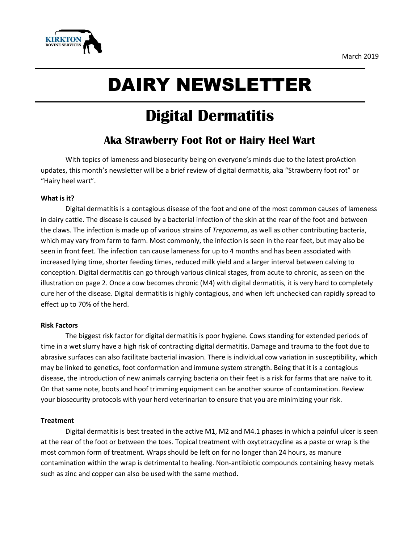

# DAIRY NEWSLETTER

## **Digital Dermatitis**

### **Aka Strawberry Foot Rot or Hairy Heel Wart**

With topics of lameness and biosecurity being on everyone's minds due to the latest proAction updates, this month's newsletter will be a brief review of digital dermatitis, aka "Strawberry foot rot" or "Hairy heel wart".

#### **What is it?**

Digital dermatitis is a contagious disease of the foot and one of the most common causes of lameness in dairy cattle. The disease is caused by a bacterial infection of the skin at the rear of the foot and between the claws. The infection is made up of various strains of *Treponema*, as well as other contributing bacteria, which may vary from farm to farm. Most commonly, the infection is seen in the rear feet, but may also be seen in front feet. The infection can cause lameness for up to 4 months and has been associated with increased lying time, shorter feeding times, reduced milk yield and a larger interval between calving to conception. Digital dermatitis can go through various clinical stages, from acute to chronic, as seen on the illustration on page 2. Once a cow becomes chronic (M4) with digital dermatitis, it is very hard to completely cure her of the disease. Digital dermatitis is highly contagious, and when left unchecked can rapidly spread to effect up to 70% of the herd.

#### **Risk Factors**

The biggest risk factor for digital dermatitis is poor hygiene. Cows standing for extended periods of time in a wet slurry have a high risk of contracting digital dermatitis. Damage and trauma to the foot due to abrasive surfaces can also facilitate bacterial invasion. There is individual cow variation in susceptibility, which may be linked to genetics, foot conformation and immune system strength. Being that it is a contagious disease, the introduction of new animals carrying bacteria on their feet is a risk for farms that are naïve to it. On that same note, boots and hoof trimming equipment can be another source of contamination. Review your biosecurity protocols with your herd veterinarian to ensure that you are minimizing your risk.

#### **Treatment**

Digital dermatitis is best treated in the active M1, M2 and M4.1 phases in which a painful ulcer is seen at the rear of the foot or between the toes. Topical treatment with oxytetracycline as a paste or wrap is the most common form of treatment. Wraps should be left on for no longer than 24 hours, as manure contamination within the wrap is detrimental to healing. Non-antibiotic compounds containing heavy metals such as zinc and copper can also be used with the same method.